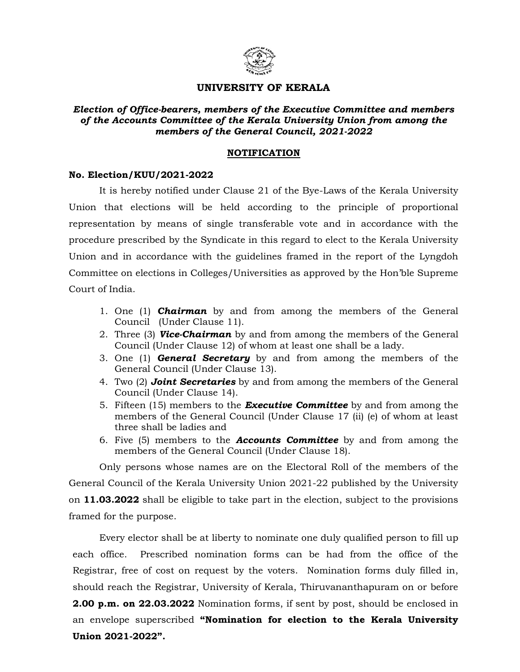

## UNIVERSITY OF KERALA

Election of Office-bearers, members of the Executive Committee and members of the Accounts Committee of the Kerala University Union from among the members of the General Council, 2021-2022

## NOTIFICATION

## No. Election/KUU/2021-2022

 It is hereby notified under Clause 21 of the Bye-Laws of the Kerala University Union that elections will be held according to the principle of proportional representation by means of single transferable vote and in accordance with the procedure prescribed by the Syndicate in this regard to elect to the Kerala University Union and in accordance with the guidelines framed in the report of the Lyngdoh Committee on elections in Colleges/Universities as approved by the Hon'ble Supreme Court of India.

- 1. One (1) **Chairman** by and from among the members of the General Council (Under Clause 11).
- 2. Three (3) Vice-Chairman by and from among the members of the General Council (Under Clause 12) of whom at least one shall be a lady.
- 3. One  $(1)$  **General Secretary** by and from among the members of the General Council (Under Clause 13).
- 4. Two (2) **Joint Secretaries** by and from among the members of the General Council (Under Clause 14).
- 5. Fifteen (15) members to the **Executive Committee** by and from among the members of the General Council (Under Clause 17 (ii) (e) of whom at least three shall be ladies and
- 6. Five  $(5)$  members to the **Accounts Committee** by and from among the members of the General Council (Under Clause 18).

Only persons whose names are on the Electoral Roll of the members of the General Council of the Kerala University Union 2021-22 published by the University on 11.03.2022 shall be eligible to take part in the election, subject to the provisions framed for the purpose.

 Every elector shall be at liberty to nominate one duly qualified person to fill up each office. Prescribed nomination forms can be had from the office of the Registrar, free of cost on request by the voters. Nomination forms duly filled in, should reach the Registrar, University of Kerala, Thiruvananthapuram on or before 2.00 p.m. on 22.03.2022 Nomination forms, if sent by post, should be enclosed in an envelope superscribed "Nomination for election to the Kerala University Union 2021-2022".